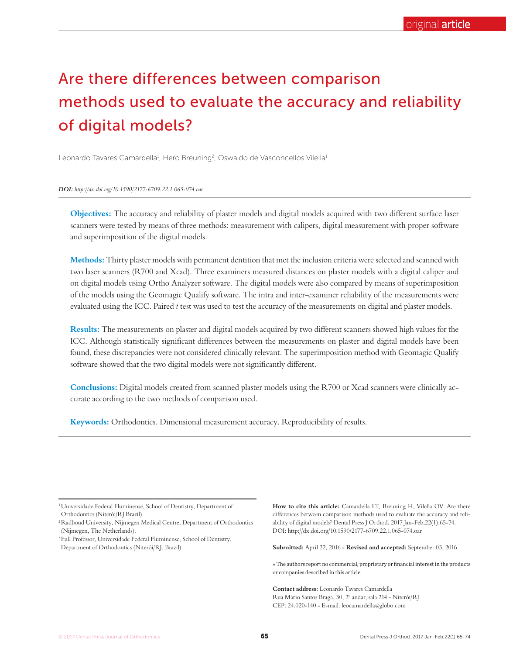# Are there differences between comparison methods used to evaluate the accuracy and reliability of digital models?

Leonardo Tavares Camardella<sup>1</sup>, Hero Breuning<sup>2</sup>, Oswaldo de Vasconcellos Vilella<sup>1</sup>

*DOI: http://dx.doi.org/10.1590/2177-6709.22.1.065-074.oar*

**Objectives:** The accuracy and reliability of plaster models and digital models acquired with two different surface laser scanners were tested by means of three methods: measurement with calipers, digital measurement with proper software and superimposition of the digital models.

**Methods:** Thirty plaster models with permanent dentition that met the inclusion criteria were selected and scanned with two laser scanners (R700 and Xcad). Three examiners measured distances on plaster models with a digital caliper and on digital models using Ortho Analyzer software. The digital models were also compared by means of superimposition of the models using the Geomagic Qualify software. The intra and inter-examiner reliability of the measurements were evaluated using the ICC. Paired *t* test was used to test the accuracy of the measurements on digital and plaster models.

**Results:** The measurements on plaster and digital models acquired by two different scanners showed high values for the ICC. Although statistically significant differences between the measurements on plaster and digital models have been found, these discrepancies were not considered clinically relevant. The superimposition method with Geomagic Qualify software showed that the two digital models were not significantly different.

**Conclusions:** Digital models created from scanned plaster models using the R700 or Xcad scanners were clinically accurate according to the two methods of comparison used.

**Keywords:** Orthodontics. Dimensional measurement accuracy. Reproducibility of results.

1 Universidade Federal Fluminense, School of Dentistry, Department of Orthodontics (Niterói/RJ Brazil).

2 Radboud University, Nijmegen Medical Centre, Department of Orthodontics (Nijmegen, The Netherlands).

3 Full Professor, Universidade Federal Fluminense, School of Dentistry, Department of Orthodontics (Niterói/RJ, Brazil).

**How to cite this article:** Camardella LT, Breuning H, Vilella OV. Are there differences between comparison methods used to evaluate the accuracy and reliability of digital models? Dental Press J Orthod. 2017 Jan-Feb;22(1):65-74. DOI: http://dx.doi.org/10.1590/2177-6709.22.1.065-074.oar

**Submitted:** April 22, 2016 - **Revised and accepted:** September 03, 2016

» The authors report no commercial, proprietary or financial interest in the products or companies described in this article.

**Contact address:** Leonardo Tavares Camardella Rua Mário Santos Braga, 30, 2º andar, sala 214 - Niterói/RJ CEP: 24.020-140 - E-mail: leocamardella@globo.com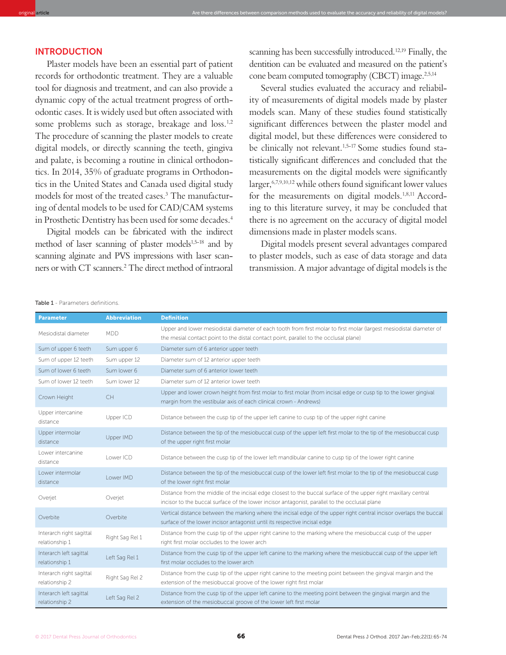# INTRODUCTION

Plaster models have been an essential part of patient records for orthodontic treatment. They are a valuable tool for diagnosis and treatment, and can also provide a dynamic copy of the actual treatment progress of orthodontic cases. It is widely used but oten associated with some problems such as storage, breakage and loss.<sup>1,2</sup> The procedure of scanning the plaster models to create digital models, or directly scanning the teeth, gingiva and palate, is becoming a routine in clinical orthodontics. In 2014, 35% of graduate programs in Orthodontics in the United States and Canada used digital study models for most of the treated cases.<sup>3</sup> The manufacturing of dental models to be used for CAD/CAM systems in Prosthetic Dentistry has been used for some decades.<sup>4</sup>

Digital models can be fabricated with the indirect method of laser scanning of plaster models<sup>1,5-18</sup> and by scanning alginate and PVS impressions with laser scanners or with CT scanners.<sup>2</sup> The direct method of intraoral scanning has been successfully introduced.<sup>12,19</sup> Finally, the dentition can be evaluated and measured on the patient's cone beam computed tomography (CBCT) image.<sup>2,5,14</sup>

Several studies evaluated the accuracy and reliability of measurements of digital models made by plaster models scan. Many of these studies found statistically significant differences between the plaster model and digital model, but these diferences were considered to be clinically not relevant.<sup>1,5-17</sup> Some studies found statistically significant differences and concluded that the measurements on the digital models were significantly  $larger, <sup>6,7,9,10,12</sup>$  while others found significant lower values for the measurements on digital models.<sup>1,8,11</sup> According to this literature survey, it may be concluded that there is no agreement on the accuracy of digital model dimensions made in plaster models scans.

Digital models present several advantages compared to plaster models, such as ease of data storage and data transmission. A major advantage of digital models is the

| <b>Parameter</b>                           | <b>Abbreviation</b> | <b>Definition</b>                                                                                                                                                                                                |
|--------------------------------------------|---------------------|------------------------------------------------------------------------------------------------------------------------------------------------------------------------------------------------------------------|
| Mesiodistal diameter                       | <b>MDD</b>          | Upper and lower mesiodistal diameter of each tooth from first molar to first molar (largest mesiodistal diameter of<br>the mesial contact point to the distal contact point, parallel to the occlusal plane)     |
| Sum of upper 6 teeth                       | Sum upper 6         | Diameter sum of 6 anterior upper teeth                                                                                                                                                                           |
| Sum of upper 12 teeth                      | Sum upper 12        | Diameter sum of 12 anterior upper teeth                                                                                                                                                                          |
| Sum of lower 6 teeth                       | Sum lower 6         | Diameter sum of 6 anterior lower teeth                                                                                                                                                                           |
| Sum of lower 12 teeth                      | Sum lower 12        | Diameter sum of 12 anterior lower teeth                                                                                                                                                                          |
| Crown Height                               | CH                  | Upper and lower crown height from first molar to first molar (from incisal edge or cusp tip to the lower gingival<br>margin from the vestibular axis of each clinical crown - Andrews)                           |
| Upper intercanine<br>distance              | Upper ICD           | Distance between the cusp tip of the upper left canine to cusp tip of the upper right canine                                                                                                                     |
| Upper intermolar<br>distance               | Upper IMD           | Distance between the tip of the mesiobuccal cusp of the upper left first molar to the tip of the mesiobuccal cusp<br>of the upper right first molar                                                              |
| Lower intercanine<br>distance              | Lower ICD           | Distance between the cusp tip of the lower left mandibular canine to cusp tip of the lower right canine                                                                                                          |
| Lower intermolar<br>distance               | Lower IMD           | Distance between the tip of the mesiobuccal cusp of the lower left first molar to the tip of the mesiobuccal cusp<br>of the lower right first molar                                                              |
| Overjet                                    | Overjet             | Distance from the middle of the incisal edge closest to the buccal surface of the upper right maxillary central<br>incisor to the buccal surface of the lower incisor antagonist, parallel to the occlusal plane |
| Overbite                                   | Overbite            | Vertical distance between the marking where the incisal edge of the upper right central incisor overlaps the buccal<br>surface of the lower incisor antagonist until its respective incisal edge                 |
| Interarch right sagittal<br>relationship 1 | Right Sag Rel 1     | Distance from the cusp tip of the upper right canine to the marking where the mesiobuccal cusp of the upper<br>right first molar occludes to the lower arch                                                      |
| Interarch left sagittal<br>relationship 1  | Left Sag Rel 1      | Distance from the cusp tip of the upper left canine to the marking where the mesiobuccal cusp of the upper left<br>first molar occludes to the lower arch                                                        |
| Interarch right sagittal<br>relationship 2 | Right Sag Rel 2     | Distance from the cusp tip of the upper right canine to the meeting point between the gingival margin and the<br>extension of the mesiobuccal groove of the lower right first molar                              |
| Interarch left sagittal<br>relationship 2  | Left Sag Rel 2      | Distance from the cusp tip of the upper left canine to the meeting point between the gingival margin and the<br>extension of the mesiobuccal groove of the lower left first molar                                |

original **article** Are there diferences between comparison methods used to evaluate the accuracy and reliability of digital models?

#### Table 1 - Parameters definitions.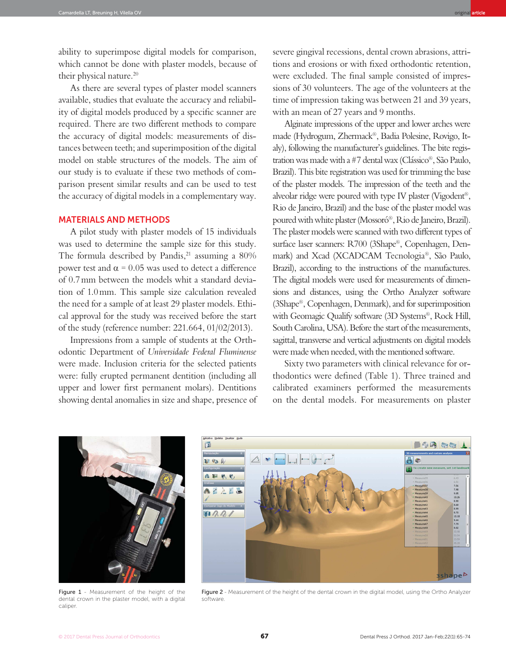As there are several types of plaster model scanners available, studies that evaluate the accuracy and reliability of digital models produced by a specific scanner are required. There are two diferent methods to compare the accuracy of digital models: measurements of distances between teeth; and superimposition of the digital model on stable structures of the models. The aim of our study is to evaluate if these two methods of comparison present similar results and can be used to test the accuracy of digital models in a complementary way.

# MATERIALS AND METHODS

A pilot study with plaster models of 15 individuals was used to determine the sample size for this study. The formula described by Pandis, $21$  assuming a 80% power test and  $α = 0.05$  was used to detect a difference of 0.7 mm between the models whit a standard deviation of 1.0 mm. This sample size calculation revealed the need for a sample of at least 29 plaster models. Ethical approval for the study was received before the start of the study (reference number: 221.664, 01/02/2013).

Impressions from a sample of students at the Orthodontic Department of *Universidade Federal Fluminense* were made. Inclusion criteria for the selected patients were: fully erupted permanent dentition (including all upper and lower first permanent molars). Dentitions showing dental anomalies in size and shape, presence of severe gingival recessions, dental crown abrasions, attritions and erosions or with fixed orthodontic retention, were excluded. The final sample consisted of impressions of 30 volunteers. The age of the volunteers at the time of impression taking was between 21 and 39 years, with an mean of 27 years and 9 months.

Alginate impressions of the upper and lower arches were made (Hydrogum, Zhermack®, Badia Polesine, Rovigo, Italy), following the manufacturer's guidelines. The bite registration was made with a #7 dental wax (Clássico®, São Paulo, Brazil). This bite registration was used for trimming the base of the plaster models. The impression of the teeth and the alveolar ridge were poured with type IV plaster (Vigodent®, Rio de Janeiro, Brazil) and the base of the plaster model was poured with white plaster (Mossoró®, Rio de Janeiro, Brazil). The plaster models were scanned with two diferent types of surface laser scanners: R700 (3Shape®, Copenhagen, Denmark) and Xcad (XCADCAM Tecnologia®, São Paulo, Brazil), according to the instructions of the manufactures. The digital models were used for measurements of dimensions and distances, using the Ortho Analyzer sotware (3Shape®, Copenhagen, Denmark), and for superimposition with Geomagic Qualify software (3D Systems®, Rock Hill, South Carolina, USA). Before the start of the measurements, sagittal, transverse and vertical adjustments on digital models were made when needed, with the mentioned sotware.

Sixty two parameters with clinical relevance for orthodontics were defined (Table 1). Three trained and calibrated examiners performed the measurements on the dental models. For measurements on plaster



Figure 1 - Measurement of the height of the dental crown in the plaster model, with a digital caliper.



Figure 2 - Measurement of the height of the dental crown in the digital model, using the Ortho Analyzer software.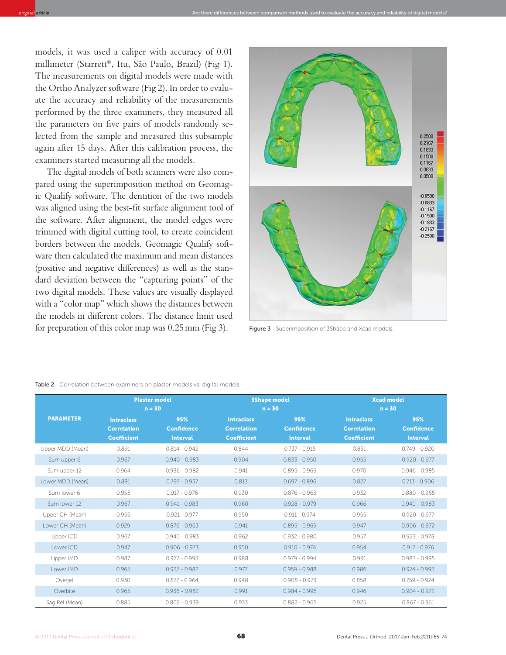models, it was used a caliper with accuracy of 0.01 millimeter (Starrett®, Itu, São Paulo, Brazil) (Fig 1). The measurements on digital models were made with the Ortho Analyzer software (Fig 2). In order to evaluate the accuracy and reliability of the measurements performed by the three examiners, they measured all the parameters on five pairs of models randomly selected from the sample and measured this subsample again ater 15 days. Ater this calibration process, the examiners started measuring all the models.

The digital models of both scanners were also compared using the superimposition method on Geomagic Qualify sotware. The dentition of the two models was aligned using the best-fit surface alignment tool of the sotware. Ater alignment, the model edges were trimmed with digital cutting tool, to create coincident borders between the models. Geomagic Qualify sotware then calculated the maximum and mean distances (positive and negative diferences) as well as the standard deviation between the "capturing points" of the two digital models. These values are visually displayed with a "color map" which shows the distances between the models in diferent colors. The distance limit used for preparation of this color map was  $0.25$  mm (Fig 3). Figure 3 - Superimposition of 3Shape and Xcad models.



| <b>Table 2</b> - Correlation between examiners on plaster models vs. digital models. |  |  |  |  |
|--------------------------------------------------------------------------------------|--|--|--|--|
|                                                                                      |  |  |  |  |

|                  |                                                               | <b>Plaster model</b><br>$n = 30$            |                                                               | <b>3Shape model</b><br>$n = 30$             | $n = 30$                                                      | <b>Xcad model</b>                           |
|------------------|---------------------------------------------------------------|---------------------------------------------|---------------------------------------------------------------|---------------------------------------------|---------------------------------------------------------------|---------------------------------------------|
| <b>PARAMETER</b> | <b>Intraclass</b><br><b>Correlation</b><br><b>Coefficient</b> | 95%<br><b>Confidence</b><br><b>Interval</b> | <b>Intraclass</b><br><b>Correlation</b><br><b>Coefficient</b> | 95%<br><b>Confidence</b><br><b>Interval</b> | <b>Intraclass</b><br><b>Correlation</b><br><b>Coefficient</b> | 95%<br><b>Confidence</b><br><b>Interval</b> |
| Upper MDD (Mean) | 0.891                                                         | $0.814 - 0.942$                             | 0.844                                                         | $0.737 - 0.915$                             | 0.851                                                         | $0.749 - 0.920$                             |
| Sum upper 6      | 0.967                                                         | $0.940 - 0.983$                             | 0.904                                                         | $0.833 - 0.950$                             | 0.955                                                         | $0.920 - 0.977$                             |
| Sum upper 12     | 0.964                                                         | $0.936 - 0.982$                             | 0.941                                                         | $0.895 - 0.969$                             | 0.970                                                         | $0.946 - 0.985$                             |
| Lower MDD (Mean) | 0.881                                                         | $0.797 - 0.937$                             | 0.813                                                         | $0.697 - 0.896$                             | 0.827                                                         | $0.713 - 0.906$                             |
| Sum lower 6      | 0.953                                                         | $0.917 - 0.976$                             | 0.930                                                         | $0.876 - 0.963$                             | 0.932                                                         | $0.880 - 0.965$                             |
| Sum lower 12     | 0.967                                                         | $0.941 - 0.983$                             | 0.960                                                         | $0.928 - 0.979$                             | 0.966                                                         | $0.940 - 0.983$                             |
| Upper CH (Mean)  | 0.955                                                         | $0.921 - 0.977$                             | 0.950                                                         | $0.911 - 0.974$                             | 0.955                                                         | $0.920 - 0.977$                             |
| Lower CH (Mean)  | 0.929                                                         | $0.876 - 0.963$                             | 0.941                                                         | $0.895 - 0.969$                             | 0.947                                                         | $0.906 - 0.972$                             |
| Upper ICD        | 0.967                                                         | $0.940 - 0.983$                             | 0.962                                                         | $0.932 - 0.980$                             | 0.957                                                         | $0.923 - 0.978$                             |
| Lower ICD        | 0.947                                                         | $0.906 - 0.973$                             | 0.950                                                         | $0.910 - 0.974$                             | 0.954                                                         | $0.917 - 0.976$                             |
| Upper IMD        | 0.987                                                         | $0.977 - 0.993$                             | 0.988                                                         | $0.979 - 0.994$                             | 0.991                                                         | $0.983 - 0.995$                             |
| Lower IMD        | 0.965                                                         | $0.937 - 0.982$                             | 0.977                                                         | $0.959 - 0.988$                             | 0.986                                                         | $0.974 - 0.993$                             |
| Overjet          | 0.930                                                         | $0.877 - 0.964$                             | 0.948                                                         | $0.908 - 0.973$                             | 0.858                                                         | $0.759 - 0.924$                             |
| Overbite         | 0.965                                                         | $0.936 - 0.982$                             | 0.991                                                         | $0.984 - 0.996$                             | 0.946                                                         | $0.904 - 0.972$                             |
| Sag Rel (Mean)   | 0.885                                                         | $0.802 - 0.939$                             | 0.933                                                         | $0.882 - 0.965$                             | 0.925                                                         | $0.867 - 0.961$                             |

original **article** Are there diferences between comparison methods used to evaluate the accuracy and reliability of digital models?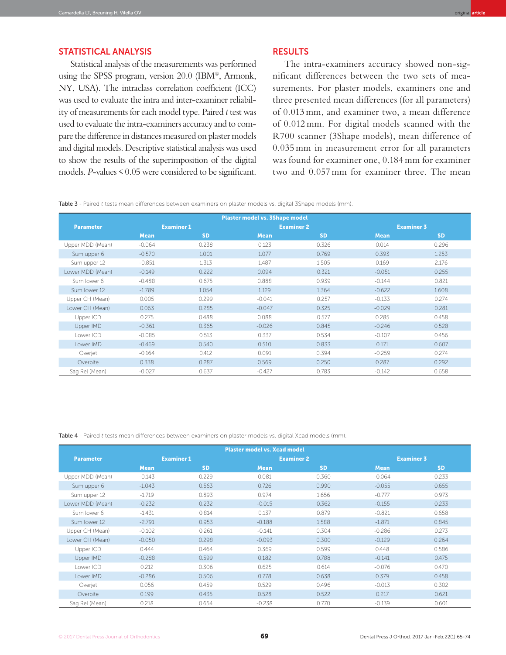# STATISTICAL ANALYSIS

Statistical analysis of the measurements was performed using the SPSS program, version 20.0 (IBM®, Armonk, NY, USA). The intraclass correlation coefficient (ICC) was used to evaluate the intra and inter-examiner reliability of measurements for each model type. Paired *t* test was used to evaluate the intra-examiners accuracy and to compare the diference in distances measured on plaster models and digital models. Descriptive statistical analysis was used to show the results of the superimposition of the digital models. *P*-values < 0.05 were considered to be significant.

### **RESULTS**

The intra-examiners accuracy showed non-significant differences between the two sets of measurements. For plaster models, examiners one and three presented mean differences (for all parameters) of 0.013 mm, and examiner two, a mean difference of 0.012 mm. For digital models scanned with the R700 scanner (3Shape models), mean difference of 0.035 mm in measurement error for all parameters was found for examiner one, 0.184 mm for examiner two and 0.057 mm for examiner three. The mean

Table 3 - Paired *t* tests mean differences between examiners on plaster models vs. digital 3Shape models (mm).

|                  |             |                   | <b>Plaster model vs. 3Shape model</b> |                   |             |                   |  |
|------------------|-------------|-------------------|---------------------------------------|-------------------|-------------|-------------------|--|
| <b>Parameter</b> |             | <b>Examiner 1</b> |                                       | <b>Examiner 2</b> |             | <b>Examiner 3</b> |  |
|                  | <b>Mean</b> | <b>SD</b>         | <b>Mean</b>                           | <b>SD</b>         | <b>Mean</b> | <b>SD</b>         |  |
| Upper MDD (Mean) | $-0.064$    | 0.238             | 0.123                                 | 0.326             | 0.014       | 0.296             |  |
| Sum upper 6      | $-0.570$    | 1.001             | 1.077                                 | 0.769             | 0.393       | 1.253             |  |
| Sum upper 12     | $-0.851$    | 1.313             | 1.487                                 | 1.505             | 0.169       | 2.176             |  |
| Lower MDD (Mean) | $-0.149$    | 0.222             | 0.094                                 | 0.321             | $-0.051$    | 0.255             |  |
| Sum lower 6      | $-0.488$    | 0.675             | 0.888                                 | 0.939             | $-0.144$    | 0.821             |  |
| Sum lower 12     | $-1.789$    | 1.054             | 1.129                                 | 1.364             | $-0.622$    | 1.608             |  |
| Upper CH (Mean)  | 0.005       | 0.299             | $-0.041$                              | 0.257             | $-0.133$    | 0.274             |  |
| Lower CH (Mean)  | 0.063       | 0.285             | $-0.047$                              | 0.325             | $-0.029$    | 0.281             |  |
| Upper ICD        | 0.275       | 0.488             | 0.088                                 | 0.577             | 0.285       | 0.458             |  |
| Upper IMD        | $-0.361$    | 0.365             | $-0.026$                              | 0.845             | $-0.246$    | 0.528             |  |
| Lower ICD        | $-0.085$    | 0.513             | 0.337                                 | 0.534             | $-0.107$    | 0.456             |  |
| Lower IMD        | $-0.469$    | 0.540             | 0.510                                 | 0.833             | 0.171       | 0.607             |  |
| Overjet          | $-0.164$    | 0.412             | 0.091                                 | 0.394             | $-0.259$    | 0.274             |  |
| Overbite         | 0.338       | 0.287             | 0.569                                 | 0.250             | 0.287       | 0.292             |  |
| Sag Rel (Mean)   | $-0.027$    | 0.637             | $-0.427$                              | 0.783             | $-0.142$    | 0.658             |  |

Table 4 - Paired *t* tests mean differences between examiners on plaster models vs. digital Xcad models (mm).

| <b>Plaster model vs. Xcad model</b> |             |                   |                   |           |                   |           |  |
|-------------------------------------|-------------|-------------------|-------------------|-----------|-------------------|-----------|--|
| <b>Parameter</b>                    |             | <b>Examiner 1</b> | <b>Examiner 2</b> |           | <b>Examiner 3</b> |           |  |
|                                     | <b>Mean</b> | <b>SD</b>         | <b>Mean</b>       | <b>SD</b> | <b>Mean</b>       | <b>SD</b> |  |
| Upper MDD (Mean)                    | $-0.143$    | 0.229             | 0.081             | 0.360     | $-0.064$          | 0.233     |  |
| Sum upper 6                         | $-1.043$    | 0.563             | 0.726             | 0.990     | $-0.055$          | 0.655     |  |
| Sum upper 12                        | $-1.719$    | 0.893             | 0.974             | 1.656     | $-0.777$          | 0.973     |  |
| Lower MDD (Mean)                    | $-0.232$    | 0.232             | $-0.015$          | 0.362     | $-0.155$          | 0.233     |  |
| Sum lower 6                         | $-1.431$    | 0.814             | 0.137             | 0.879     | $-0.821$          | 0.658     |  |
| Sum lower 12                        | $-2.791$    | 0.953             | $-0.188$          | 1.588     | $-1.871$          | 0.845     |  |
| Upper CH (Mean)                     | $-0.102$    | 0.261             | $-0.141$          | 0.304     | $-0.286$          | 0.273     |  |
| Lower CH (Mean)                     | $-0.050$    | 0.298             | $-0.093$          | 0.300     | $-0.129$          | 0.264     |  |
| Upper ICD                           | 0.444       | 0.464             | 0.369             | 0.599     | 0.448             | 0.586     |  |
| Upper IMD                           | $-0.288$    | 0.599             | 0.182             | 0.788     | $-0.141$          | 0.475     |  |
| Lower ICD                           | 0.212       | 0.306             | 0.625             | 0.614     | $-0.076$          | 0.470     |  |
| Lower IMD                           | $-0.286$    | 0.506             | 0.778             | 0.638     | 0.379             | 0.458     |  |
| Overjet                             | 0.056       | 0.459             | 0.529             | 0.496     | $-0.013$          | 0.302     |  |
| Overbite                            | 0.199       | 0.435             | 0.528             | 0.522     | 0.217             | 0.621     |  |
| Sag Rel (Mean)                      | 0.218       | 0.654             | $-0.238$          | 0.770     | $-0.139$          | 0.601     |  |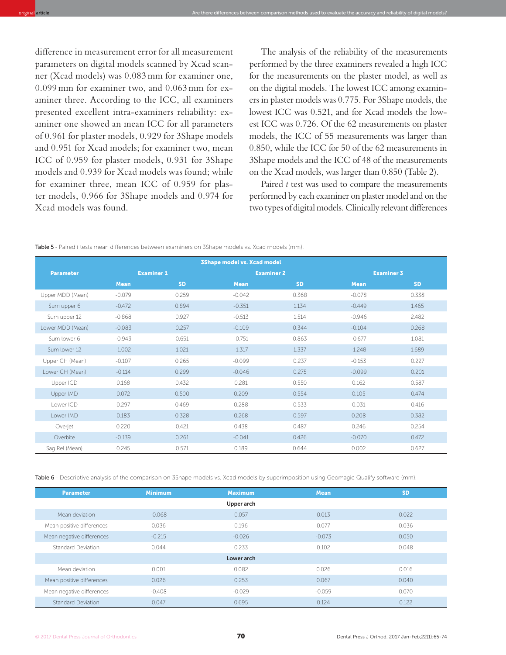difference in measurement error for all measurement parameters on digital models scanned by Xcad scanner (Xcad models) was 0.083 mm for examiner one, 0.099 mm for examiner two, and 0.063 mm for examiner three. According to the ICC, all examiners presented excellent intra-examiners reliability: examiner one showed an mean ICC for all parameters of 0.961 for plaster models, 0.929 for 3Shape models and 0.951 for Xcad models; for examiner two, mean ICC of 0.959 for plaster models, 0.931 for 3Shape models and 0.939 for Xcad models was found; while for examiner three, mean ICC of 0.959 for plaster models, 0.966 for 3Shape models and 0.974 for Xcad models was found.

The analysis of the reliability of the measurements performed by the three examiners revealed a high ICC for the measurements on the plaster model, as well as on the digital models. The lowest ICC among examiners in plaster models was 0.775. For 3Shape models, the lowest ICC was 0.521, and for Xcad models the lowest ICC was 0.726. Of the 62 measurements on plaster models, the ICC of 55 measurements was larger than 0.850, while the ICC for 50 of the 62 measurements in 3Shape models and the ICC of 48 of the measurements on the Xcad models, was larger than 0.850 (Table 2).

Paired *t* test was used to compare the measurements performed by each examiner on plaster model and on the two types of digital models. Clinically relevant diferences

| <b>3Shape model vs. Xcad model</b> |             |                   |             |                   |                   |           |
|------------------------------------|-------------|-------------------|-------------|-------------------|-------------------|-----------|
| <b>Parameter</b>                   |             | <b>Examiner 1</b> |             | <b>Examiner 2</b> | <b>Examiner 3</b> |           |
|                                    | <b>Mean</b> | <b>SD</b>         | <b>Mean</b> | <b>SD</b>         | <b>Mean</b>       | <b>SD</b> |
| Upper MDD (Mean)                   | $-0.079$    | 0.259             | $-0.042$    | 0.368             | $-0.078$          | 0.338     |
| Sum upper 6                        | $-0.472$    | 0.894             | $-0.351$    | 1.134             | $-0.449$          | 1.465     |
| Sum upper 12                       | $-0.868$    | 0.927             | $-0.513$    | 1.514             | $-0.946$          | 2.482     |
| Lower MDD (Mean)                   | $-0.083$    | 0.257             | $-0.109$    | 0.344             | $-0.104$          | 0.268     |
| Sum lower 6                        | $-0.943$    | 0.651             | $-0.751$    | 0.863             | $-0.677$          | 1.081     |
| Sum lower 12                       | $-1.002$    | 1.021             | $-1.317$    | 1.337             | $-1.248$          | 1.689     |
| Upper CH (Mean)                    | $-0.107$    | 0.265             | $-0.099$    | 0.237             | $-0.153$          | 0.227     |
| Lower CH (Mean)                    | $-0.114$    | 0.299             | $-0.046$    | 0.275             | $-0.099$          | 0.201     |
| Upper ICD                          | 0.168       | 0.432             | 0.281       | 0.550             | 0.162             | 0.587     |
| Upper IMD                          | 0.072       | 0.500             | 0.209       | 0.554             | 0.105             | 0.474     |
| Lower ICD                          | 0.297       | 0.469             | 0.288       | 0.533             | 0.031             | 0.416     |
| Lower IMD                          | 0.183       | 0.328             | 0.268       | 0.597             | 0.208             | 0.382     |
| Overjet                            | 0.220       | 0.421             | 0.438       | 0.487             | 0.246             | 0.254     |
| Overbite                           | $-0.139$    | 0.261             | $-0.041$    | 0.426             | $-0.070$          | 0.472     |
| Sag Rel (Mean)                     | 0.245       | 0.571             | 0.189       | 0.644             | 0.002             | 0.627     |

Table 5 - Paired *t* tests mean differences between examiners on 3Shape models vs. Xcad models (mm).

Table 6 - Descriptive analysis of the comparison on 3Shape models vs. Xcad models by superimposition using Geomagic Qualify software (mm).

| <b>Parameter</b>          | <b>Minimum</b> | <b>Maximum</b> | <b>Mean</b> | <b>SD</b> |
|---------------------------|----------------|----------------|-------------|-----------|
|                           |                | Upper arch     |             |           |
| Mean deviation            | $-0.068$       | 0.057          | 0.013       | 0.022     |
| Mean positive differences | 0.036          | 0.196          | 0.077       | 0.036     |
| Mean negative differences | $-0.215$       | $-0.026$       | $-0.073$    | 0.050     |
| Standard Deviation        | 0.044          | 0.233          | 0.102       | 0.048     |
|                           |                | Lower arch     |             |           |
| Mean deviation            | 0.001          | 0.082          | 0.026       | 0.016     |
| Mean positive differences | 0.026          | 0.253          | 0.067       | 0.040     |
| Mean negative differences | $-0.408$       | $-0.029$       | $-0.059$    | 0.070     |
| <b>Standard Deviation</b> | 0.047          | 0.695          | 0.124       | 0.122     |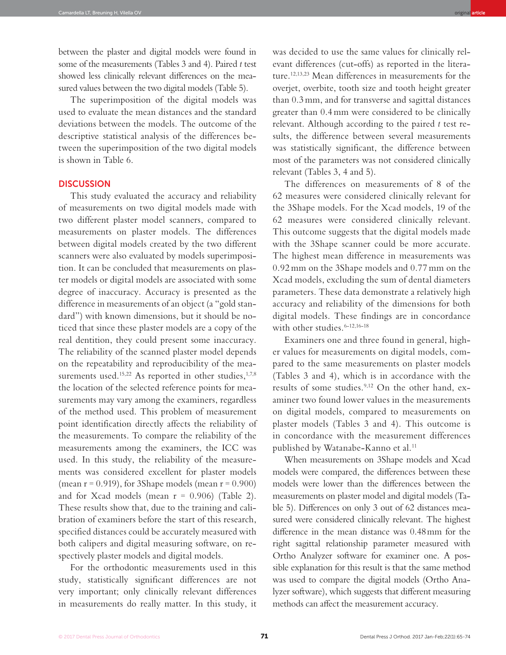between the plaster and digital models were found in some of the measurements (Tables 3 and 4). Paired *t* test showed less clinically relevant diferences on the measured values between the two digital models (Table 5).

The superimposition of the digital models was used to evaluate the mean distances and the standard deviations between the models. The outcome of the descriptive statistical analysis of the differences between the superimposition of the two digital models is shown in Table 6.

#### **DISCUSSION**

This study evaluated the accuracy and reliability of measurements on two digital models made with two different plaster model scanners, compared to measurements on plaster models. The differences between digital models created by the two different scanners were also evaluated by models superimposition. It can be concluded that measurements on plaster models or digital models are associated with some degree of inaccuracy. Accuracy is presented as the difference in measurements of an object (a "gold standard") with known dimensions, but it should be noticed that since these plaster models are a copy of the real dentition, they could present some inaccuracy. The reliability of the scanned plaster model depends on the repeatability and reproducibility of the measurements used.<sup>15,22</sup> As reported in other studies,<sup>1,7,8</sup> the location of the selected reference points for measurements may vary among the examiners, regardless of the method used. This problem of measurement point identification directly affects the reliability of the measurements. To compare the reliability of the measurements among the examiners, the ICC was used. In this study, the reliability of the measurements was considered excellent for plaster models (mean  $r = 0.919$ ), for 3Shape models (mean  $r = 0.900$ ) and for Xcad models (mean  $r = 0.906$ ) (Table 2). These results show that, due to the training and calibration of examiners before the start of this research, specified distances could be accurately measured with both calipers and digital measuring software, on respectively plaster models and digital models.

For the orthodontic measurements used in this study, statistically significant differences are not very important; only clinically relevant differences in measurements do really matter. In this study, it

was decided to use the same values for clinically relevant differences (cut-offs) as reported in the literature.12,13,23 Mean differences in measurements for the overjet, overbite, tooth size and tooth height greater than 0.3 mm, and for transverse and sagittal distances greater than 0.4 mm were considered to be clinically relevant. Although according to the paired *t* test results, the difference between several measurements was statistically significant, the difference between most of the parameters was not considered clinically relevant (Tables 3, 4 and 5).

The differences on measurements of 8 of the 62 measures were considered clinically relevant for the 3Shape models. For the Xcad models, 19 of the 62 measures were considered clinically relevant. This outcome suggests that the digital models made with the 3Shape scanner could be more accurate. The highest mean difference in measurements was 0.92 mm on the 3Shape models and 0.77 mm on the Xcad models, excluding the sum of dental diameters parameters. These data demonstrate a relatively high accuracy and reliability of the dimensions for both digital models. These findings are in concordance with other studies.<sup>6-12,16-18</sup>

Examiners one and three found in general, higher values for measurements on digital models, compared to the same measurements on plaster models (Tables 3 and 4), which is in accordance with the results of some studies.9,12 On the other hand, examiner two found lower values in the measurements on digital models, compared to measurements on plaster models (Tables 3 and 4). This outcome is in concordance with the measurement differences published by Watanabe-Kanno et al.<sup>11</sup>

When measurements on 3Shape models and Xcad models were compared, the diferences between these models were lower than the diferences between the measurements on plaster model and digital models (Table 5). Diferences on only 3 out of 62 distances measured were considered clinically relevant. The highest diference in the mean distance was 0.48 mm for the right sagittal relationship parameter measured with Ortho Analyzer sotware for examiner one. A possible explanation for this result is that the same method was used to compare the digital models (Ortho Analyzer software), which suggests that different measuring methods can afect the measurement accuracy.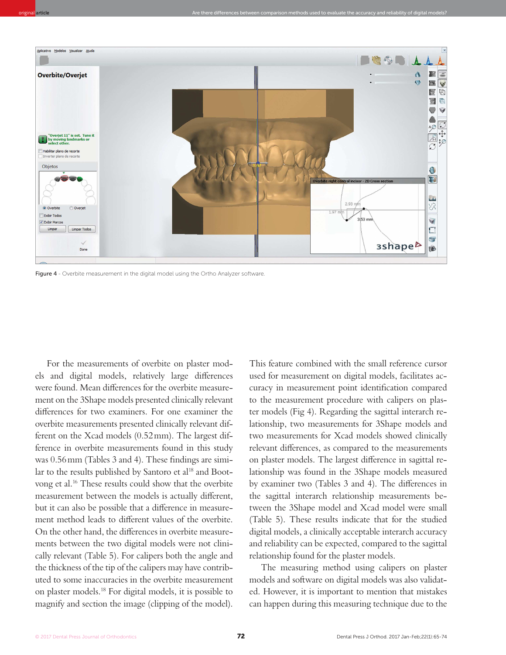

Figure 4 - Overbite measurement in the digital model using the Ortho Analyzer software.

For the measurements of overbite on plaster models and digital models, relatively large diferences were found. Mean diferences for the overbite measurement on the 3Shape models presented clinically relevant diferences for two examiners. For one examiner the overbite measurements presented clinically relevant different on the Xcad models (0.52 mm). The largest difference in overbite measurements found in this study was  $0.56$  mm (Tables 3 and 4). These findings are similar to the results published by Santoro et al<sup>18</sup> and Bootvong et al.<sup>16</sup> These results could show that the overbite measurement between the models is actually diferent, but it can also be possible that a diference in measurement method leads to diferent values of the overbite. On the other hand, the diferences in overbite measurements between the two digital models were not clinically relevant (Table 5). For calipers both the angle and the thickness of the tip of the calipers may have contributed to some inaccuracies in the overbite measurement on plaster models.<sup>18</sup> For digital models, it is possible to magnify and section the image (clipping of the model).

This feature combined with the small reference cursor used for measurement on digital models, facilitates accuracy in measurement point identification compared to the measurement procedure with calipers on plaster models (Fig 4). Regarding the sagittal interarch relationship, two measurements for 3Shape models and two measurements for Xcad models showed clinically relevant diferences, as compared to the measurements on plaster models. The largest diference in sagittal relationship was found in the 3Shape models measured by examiner two (Tables 3 and 4). The diferences in the sagittal interarch relationship measurements between the 3Shape model and Xcad model were small (Table 5). These results indicate that for the studied digital models, a clinically acceptable interarch accuracy and reliability can be expected, compared to the sagittal relationship found for the plaster models.

The measuring method using calipers on plaster models and sotware on digital models was also validated. However, it is important to mention that mistakes can happen during this measuring technique due to the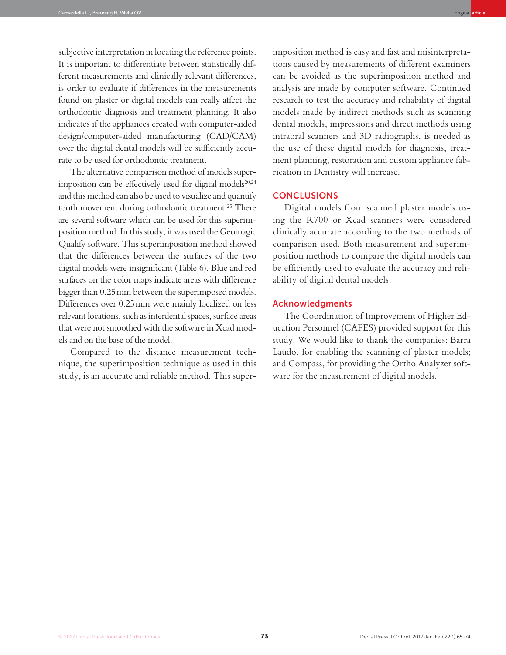subjective interpretation in locating the reference points. It is important to diferentiate between statistically different measurements and clinically relevant diferences, is order to evaluate if diferences in the measurements found on plaster or digital models can really afect the orthodontic diagnosis and treatment planning. It also indicates if the appliances created with computer-aided design/computer-aided manufacturing (CAD/CAM) over the digital dental models will be sufficiently accurate to be used for orthodontic treatment.

The alternative comparison method of models superimposition can be effectively used for digital models<sup>20,24</sup> and this method can also be used to visualize and quantify tooth movement during orthodontic treatment.<sup>25</sup> There are several sotware which can be used for this superimposition method. In this study, it was used the Geomagic Qualify sotware. This superimposition method showed that the diferences between the surfaces of the two digital models were insignificant (Table 6). Blue and red surfaces on the color maps indicate areas with diference bigger than 0.25 mm between the superimposed models. Diferences over 0.25 mm were mainly localized on less relevant locations, such as interdental spaces, surface areas that were not smoothed with the sotware in Xcad models and on the base of the model.

Compared to the distance measurement technique, the superimposition technique as used in this study, is an accurate and reliable method. This super-

imposition method is easy and fast and misinterpretations caused by measurements of different examiners can be avoided as the superimposition method and analysis are made by computer software. Continued research to test the accuracy and reliability of digital models made by indirect methods such as scanning dental models, impressions and direct methods using intraoral scanners and 3D radiographs, is needed as the use of these digital models for diagnosis, treatment planning, restoration and custom appliance fabrication in Dentistry will increase.

#### **CONCLUSIONS**

Digital models from scanned plaster models using the R700 or Xcad scanners were considered clinically accurate according to the two methods of comparison used. Both measurement and superimposition methods to compare the digital models can be efficiently used to evaluate the accuracy and reliability of digital dental models.

#### Acknowledgments

The Coordination of Improvement of Higher Education Personnel (CAPES) provided support for this study. We would like to thank the companies: Barra Laudo, for enabling the scanning of plaster models; and Compass, for providing the Ortho Analyzer software for the measurement of digital models.